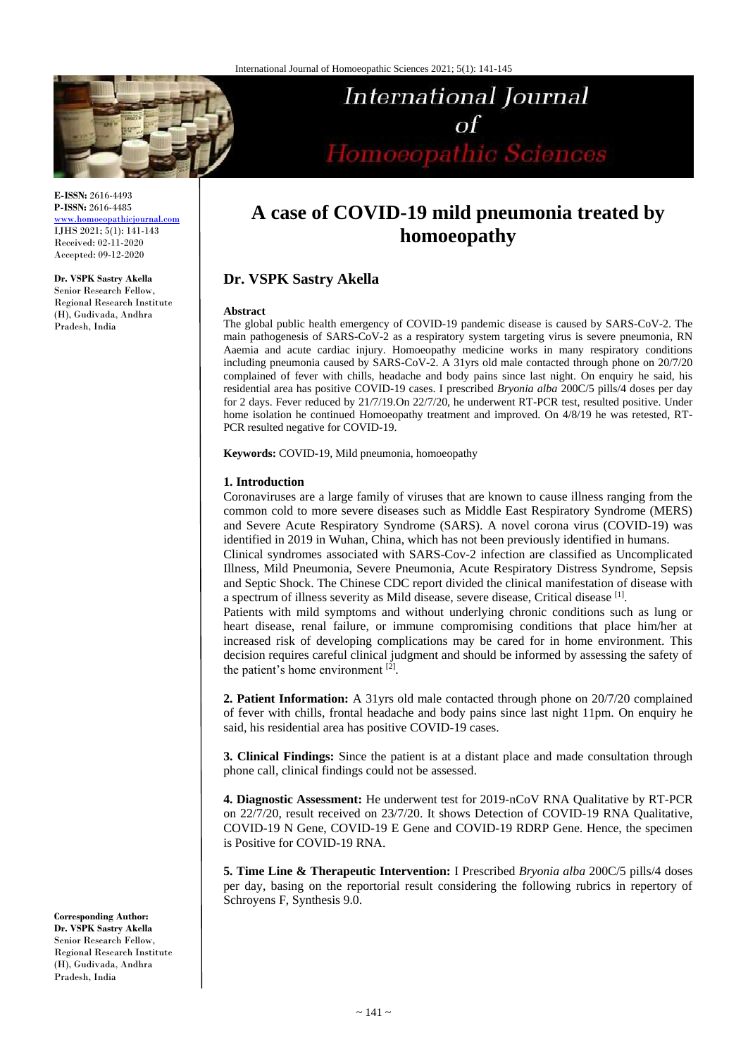

**E-ISSN:** 2616-4493 **P-ISSN:** 2616-4485 [www.homoeopathicjournal.com](file://Server/test/homoeopathicjournal/issue/vol%204/issue%201/www.homoeopathicjournal.com)

IJHS 2021; 5(1): 141-143 Received: 02-11-2020 Accepted: 09-12-2020

**Dr. VSPK Sastry Akella** Senior Research Fellow, Regional Research Institute (H), Gudivada, Andhra Pradesh, India

# International Journal  $\sigma$ f Homoeopathic Sciences

# **A case of COVID-19 mild pneumonia treated by homoeopathy**

# **Dr. VSPK Sastry Akella**

### **Abstract**

The global public health emergency of COVID-19 pandemic disease is caused by SARS-CoV-2. The main pathogenesis of SARS-CoV-2 as a respiratory system targeting virus is severe pneumonia, RN Aaemia and acute cardiac injury. Homoeopathy medicine works in many respiratory conditions including pneumonia caused by SARS-CoV-2. A 31yrs old male contacted through phone on 20/7/20 complained of fever with chills, headache and body pains since last night. On enquiry he said, his residential area has positive COVID-19 cases. I prescribed *Bryonia alba* 200C/5 pills/4 doses per day for 2 days. Fever reduced by 21/7/19.On 22/7/20, he underwent RT-PCR test, resulted positive. Under home isolation he continued Homoeopathy treatment and improved. On 4/8/19 he was retested, RT-PCR resulted negative for COVID-19.

**Keywords:** COVID-19, Mild pneumonia, homoeopathy

## **1. Introduction**

Coronaviruses are a large family of viruses that are known to cause illness ranging from the common cold to more severe diseases such as Middle East Respiratory Syndrome (MERS) and Severe Acute Respiratory Syndrome (SARS). A novel corona virus (COVID-19) was identified in 2019 in Wuhan, China, which has not been previously identified in humans.

Clinical syndromes associated with SARS-Cov-2 infection are classified as Uncomplicated Illness, Mild Pneumonia, Severe Pneumonia, Acute Respiratory Distress Syndrome, Sepsis and Septic Shock. The Chinese CDC report divided the clinical manifestation of disease with a spectrum of illness severity as Mild disease, severe disease, Critical disease [1].

Patients with mild symptoms and without underlying chronic conditions such as lung or heart disease, renal failure, or immune compromising conditions that place him/her at increased risk of developing complications may be cared for in home environment. This decision requires careful clinical judgment and should be informed by assessing the safety of the patient's home environment [2].

**2. Patient Information:** A 31yrs old male contacted through phone on 20/7/20 complained of fever with chills, frontal headache and body pains since last night 11pm. On enquiry he said, his residential area has positive COVID-19 cases.

**3. Clinical Findings:** Since the patient is at a distant place and made consultation through phone call, clinical findings could not be assessed.

**4. Diagnostic Assessment:** He underwent test for 2019-nCoV RNA Qualitative by RT-PCR on 22/7/20, result received on 23/7/20. It shows Detection of COVID-19 RNA Qualitative, COVID-19 N Gene, COVID-19 E Gene and COVID-19 RDRP Gene. Hence, the specimen is Positive for COVID-19 RNA.

**5. Time Line & Therapeutic Intervention:** I Prescribed *Bryonia alba* 200C/5 pills/4 doses per day, basing on the reportorial result considering the following rubrics in repertory of Schroyens F, Synthesis 9.0.

**Corresponding Author: Dr. VSPK Sastry Akella** Senior Research Fellow, Regional Research Institute (H), Gudivada, Andhra Pradesh, India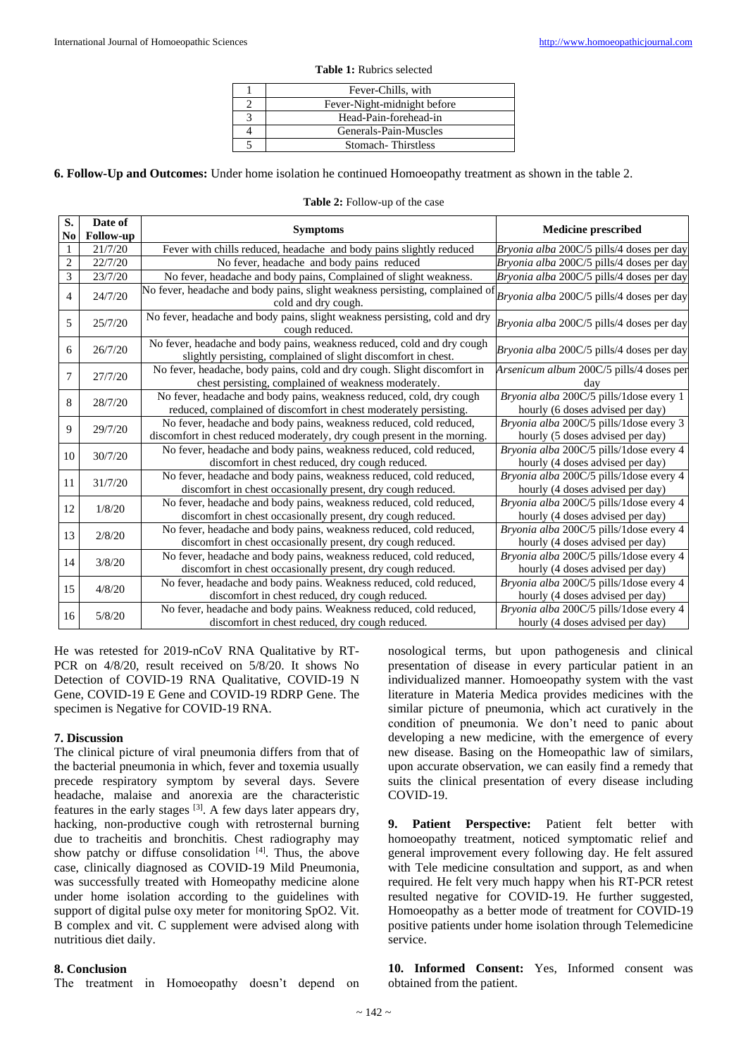| Fever-Chills, with          |
|-----------------------------|
| Fever-Night-midnight before |
| Head-Pain-forehead-in       |
| Generals-Pain-Muscles       |
| Stomach-Thirstless          |

### **Table 1:** Rubrics selected

**6. Follow-Up and Outcomes:** Under home isolation he continued Homoeopathy treatment as shown in the table 2.

| S.             | Date of          | <b>Symptoms</b>                                                                                                                                 | <b>Medicine prescribed</b>                                                  |
|----------------|------------------|-------------------------------------------------------------------------------------------------------------------------------------------------|-----------------------------------------------------------------------------|
| No             | <b>Follow-up</b> |                                                                                                                                                 |                                                                             |
| $\mathbf{1}$   | 21/7/20          | Fever with chills reduced, headache and body pains slightly reduced                                                                             | Bryonia alba 200C/5 pills/4 doses per day                                   |
| $\overline{c}$ | 22/7/20          | No fever, headache and body pains reduced                                                                                                       | Bryonia alba 200C/5 pills/4 doses per day                                   |
| $\overline{3}$ | 23/7/20          | No fever, headache and body pains, Complained of slight weakness.                                                                               | Bryonia alba 200C/5 pills/4 doses per day                                   |
| $\overline{4}$ | 24/7/20          | No fever, headache and body pains, slight weakness persisting, complained of<br>cold and dry cough.                                             | Bryonia alba 200C/5 pills/4 doses per day                                   |
| 5              | 25/7/20          | No fever, headache and body pains, slight weakness persisting, cold and dry<br>cough reduced.                                                   | Bryonia alba 200C/5 pills/4 doses per day                                   |
| 6              | 26/7/20          | No fever, headache and body pains, weakness reduced, cold and dry cough<br>slightly persisting, complained of slight discomfort in chest.       | Bryonia alba 200C/5 pills/4 doses per day                                   |
| 7              | 27/7/20          | No fever, headache, body pains, cold and dry cough. Slight discomfort in<br>chest persisting, complained of weakness moderately.                | Arsenicum album 200C/5 pills/4 doses per<br>dav                             |
| 8              | 28/7/20          | No fever, headache and body pains, weakness reduced, cold, dry cough<br>reduced, complained of discomfort in chest moderately persisting.       | Bryonia alba 200C/5 pills/1dose every 1<br>hourly (6 doses advised per day) |
| 9              | 29/7/20          | No fever, headache and body pains, weakness reduced, cold reduced,<br>discomfort in chest reduced moderately, dry cough present in the morning. | Bryonia alba 200C/5 pills/1dose every 3<br>hourly (5 doses advised per day) |
| 10             | 30/7/20          | No fever, headache and body pains, weakness reduced, cold reduced,<br>discomfort in chest reduced, dry cough reduced.                           | Bryonia alba 200C/5 pills/1dose every 4<br>hourly (4 doses advised per day) |
| 11             | 31/7/20          | No fever, headache and body pains, weakness reduced, cold reduced,<br>discomfort in chest occasionally present, dry cough reduced.              | Bryonia alba 200C/5 pills/1dose every 4<br>hourly (4 doses advised per day) |
| 12             | 1/8/20           | No fever, headache and body pains, weakness reduced, cold reduced,<br>discomfort in chest occasionally present, dry cough reduced.              | Bryonia alba 200C/5 pills/1dose every 4<br>hourly (4 doses advised per day) |
| 13             | 2/8/20           | No fever, headache and body pains, weakness reduced, cold reduced,<br>discomfort in chest occasionally present, dry cough reduced.              | Bryonia alba 200C/5 pills/1dose every 4<br>hourly (4 doses advised per day) |
| 14             | 3/8/20           | No fever, headache and body pains, weakness reduced, cold reduced,<br>discomfort in chest occasionally present, dry cough reduced.              | Bryonia alba 200C/5 pills/1dose every 4<br>hourly (4 doses advised per day) |
| 15             | 4/8/20           | No fever, headache and body pains. Weakness reduced, cold reduced,<br>discomfort in chest reduced, dry cough reduced.                           | Bryonia alba 200C/5 pills/1dose every 4<br>hourly (4 doses advised per day) |
| 16             | 5/8/20           | No fever, headache and body pains. Weakness reduced, cold reduced,<br>discomfort in chest reduced, dry cough reduced.                           | Bryonia alba 200C/5 pills/1dose every 4<br>hourly (4 doses advised per day) |

**Table 2:** Follow-up of the case

He was retested for 2019-nCoV RNA Qualitative by RT-PCR on 4/8/20, result received on 5/8/20. It shows No Detection of COVID-19 RNA Qualitative, COVID-19 N Gene, COVID-19 E Gene and COVID-19 RDRP Gene. The specimen is Negative for COVID-19 RNA.

### **7. Discussion**

The clinical picture of viral pneumonia differs from that of the bacterial pneumonia in which, fever and toxemia usually precede respiratory symptom by several days. Severe headache, malaise and anorexia are the characteristic features in the early stages  $[3]$ . A few days later appears dry, hacking, non-productive cough with retrosternal burning due to tracheitis and bronchitis. Chest radiography may show patchy or diffuse consolidation  $[4]$ . Thus, the above case, clinically diagnosed as COVID-19 Mild Pneumonia, was successfully treated with Homeopathy medicine alone under home isolation according to the guidelines with support of digital pulse oxy meter for monitoring SpO2. Vit. B complex and vit. C supplement were advised along with nutritious diet daily.

# **8. Conclusion**

The treatment in Homoeopathy doesn't depend on

nosological terms, but upon pathogenesis and clinical presentation of disease in every particular patient in an individualized manner. Homoeopathy system with the vast literature in Materia Medica provides medicines with the similar picture of pneumonia, which act curatively in the condition of pneumonia. We don't need to panic about developing a new medicine, with the emergence of every new disease. Basing on the Homeopathic law of similars, upon accurate observation, we can easily find a remedy that suits the clinical presentation of every disease including COVID-19.

9. Patient Perspective: Patient felt better with homoeopathy treatment, noticed symptomatic relief and general improvement every following day. He felt assured with Tele medicine consultation and support, as and when required. He felt very much happy when his RT-PCR retest resulted negative for COVID-19. He further suggested, Homoeopathy as a better mode of treatment for COVID-19 positive patients under home isolation through Telemedicine service.

**10. Informed Consent:** Yes, Informed consent was obtained from the patient.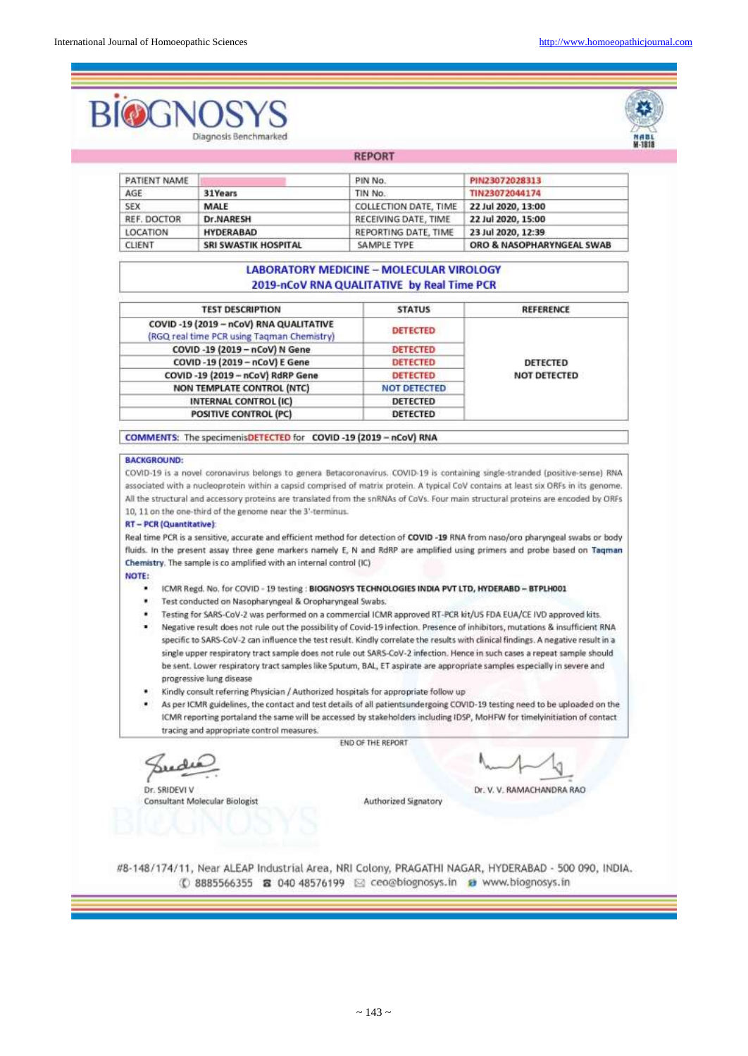# Diagnosis Benchmarked



PIN23072028313 PATIENT NAME PIN No. TIN23072044174 AGE 31Years TIN No. **SEX** MALE COLLECTION DATE, TIME 22 Jul 2020, 13:00 **Dr.NARESH** 22 Jul 2020, 15:00 REF. DOCTOR RECEIVING DATE, TIME LOCATION **HYDERABAD** REPORTING DATE, TIME 23 Jul 2020, 12:39 CLIENT **SRI SWASTIK HOSPITAL** SAMPLE TYPE ORO & NASOPHARYNGEAL SWAB

**REPORT** 

# **LABORATORY MEDICINE - MOLECULAR VIROLOGY** 2019-nCoV RNA QUALITATIVE by Real Time PCR

| <b>TEST DESCRIPTION</b>                                                               | <b>STATUS</b>       | <b>REFERENCE</b>         |  |
|---------------------------------------------------------------------------------------|---------------------|--------------------------|--|
| COVID -19 (2019 - nCoV) RNA QUALITATIVE<br>(RGQ real time PCR using Tagman Chemistry) | <b>DETECTED</b>     |                          |  |
| COVID -19 (2019 - nCoV) N Gene                                                        | DETECTED            |                          |  |
| COVID-19 (2019 - nCoV) E Gene                                                         | <b>DETECTED</b>     | DETECTED<br>NOT DETECTED |  |
| COVID-19 (2019 - nCoV) RdRP Gene                                                      | <b>DETECTED</b>     |                          |  |
| NON TEMPLATE CONTROL (NTC)                                                            | <b>NOT DETECTED</b> |                          |  |
| INTERNAL CONTROL (IC)                                                                 | DETECTED            |                          |  |
| <b>POSITIVE CONTROL (PC)</b>                                                          | <b>DETECTED</b>     |                          |  |

COMMENTS: The specimenisDETECTED for COVID-19 (2019 - nCoV) RNA

### **BACKGROUND:**

COVID-19 is a novel coronavirus belongs to genera Betacoronavirus. COVID-19 is containing single-stranded (positive-sense) RNA associated with a nucleoprotein within a capsid comprised of matrix protein. A typical CoV contains at least six ORFs in its genome. All the structural and accessory proteins are translated from the snRNAs of CoVs. Four main structural proteins are encoded by ORFs 10, 11 on the one-third of the genome near the 3'-terminus.

### **RT-PCR (Quantitative):**

Real time PCR is a sensitive, accurate and efficient method for detection of COVID-19 RNA from naso/oro pharyngeal swabs or body fluids. In the present assay three gene markers namely E, N and RdRP are amplified using primers and probe based on Tagman Chemistry. The sample is co amplified with an internal control (IC)

### NOTE:

- ICMR Regd. No. for COVID 19 testing : BIOGNOSYS TECHNOLOGIES INDIA PVT LTD, HYDERABD BTPLH001
- Test conducted on Nasopharyngeal & Oropharyngeal Swabs. ٠
- Testing for SARS-CoV-2 was performed on a commercial ICMR approved RT-PCR kit/US FDA EUA/CE IVD approved kits.
- Negative result does not rule out the possibility of Covid-19 infection. Presence of inhibitors, mutations & insufficient RNA specific to SARS-CoV-2 can influence the test result. Kindly correlate the results with clinical findings. A negative result in a single upper respiratory tract sample does not rule out SARS-CoV-2 infection. Hence in such cases a repeat sample should be sent. Lower respiratory tract samples like Sputum, BAL, ET aspirate are appropriate samples especially in severe and progressive lung disease
- Kindly consult referring Physician / Authorized hospitals for appropriate follow up
- As per ICMR guidelines, the contact and test details of all patientsundergoing COVID-19 testing need to be uploaded on the ICMR reporting portaland the same will be accessed by stakeholders including IDSP, MoHFW for timelyinitiation of contact tracing and appropriate control measures.

END OF THE REPORT

Dr. SRIDEVI V Consultant Molecular Biologist

Dr. V. V. RAMACHANDRA RAO

Authorized Signatory

#8-148/174/11, Near ALEAP Industrial Area, NRI Colony, PRAGATHI NAGAR, HYDERABAD - 500 090, INDIA. 1 8885566355 8 040 48576199 2 ceo@biognosys.in → www.biognosys.in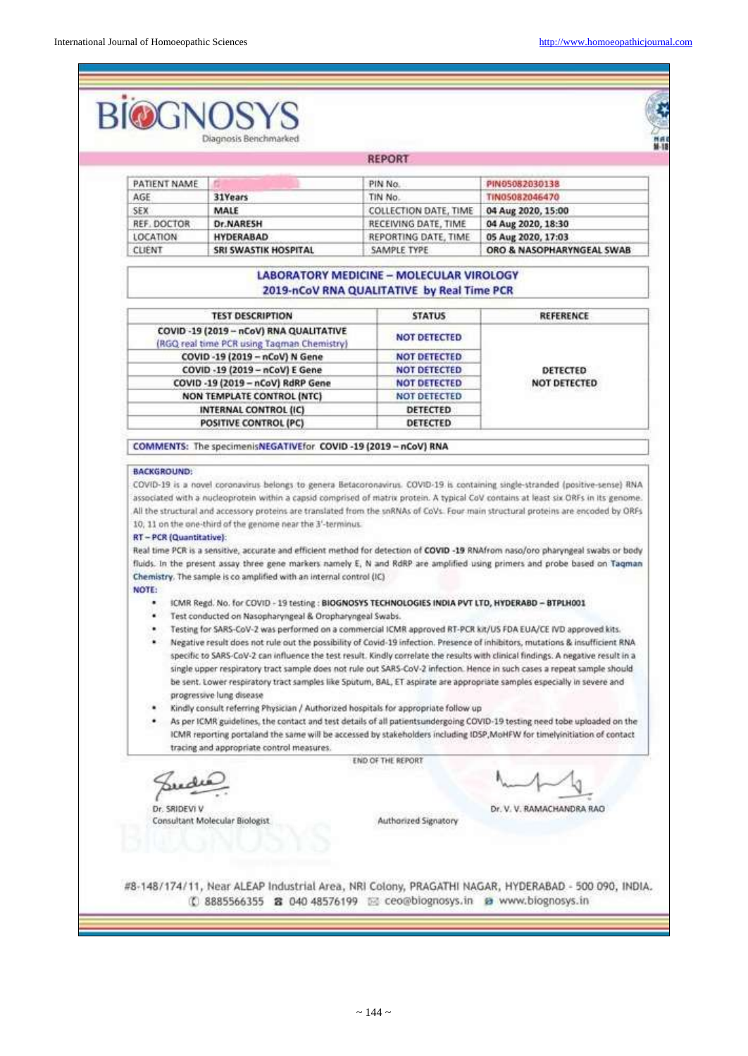### **BIOGI** ş Diagnosis Renchmarked REPORT PATIENT NAME PIN No. PIN05082030138 AGE 31Years TIN No TIN05082046470 SEX MALE COLLECTION DATE, TIME 04 Aug 2020, 15:00 REF. DOCTOR **Dr.NARESH** RECEIVING DATE, TIME 04 Aug 2020, 18:30 LOCATION **HYDERABAD** REPORTING DATE, TIME 05 Aug 2020, 17:03 **SRI SWASTIK HOSPITAL** ORO & NASOPHARYNGEAL SWAB CLIENT SAMPLE TYPE **LABORATORY MEDICINE - MOLECULAR VIROLOGY** 2019-nCoV RNA QUALITATIVE by Real Time PCR **TEST DESCRIPTION REFERENCE STATUS** COVID -19 (2019 - nCoV) RNA QUALITATIVE **NOT DETECTED** (RGQ real time PCR using Tagman Chemistry) COVID-19 (2019 - nCoV) N Gene **NOT DETECTED** COVID -19 (2019 - nCoV) E Gene NOT DETECTED DETECTED COVID -19 (2019 - nCoV) RdRP Gene **NOT DETECTED** NOT DETECTED NON TEMPLATE CONTROL (NTC) NOT DETECTED **INTERNAL CONTROL (IC)** DETECTED POSITIVE CONTROL (PC) DETECTED COMMENTS: The specimenisNEGATIVEfor COVID-19 (2019 - nCoV) RNA **BACKGROUND** COVID-19 is a novel coronavirus belongs to genera Betacoronavirus. COVID-19 is containing single-stranded (positive-sense) RNA associated with a nucleoprotein within a capsid comprised of matrix protein. A typical CoV contains at least six ORFs in its genome. All the structural and accessory proteins are translated from the snRNAs of CoVs. Four main structural proteins are encoded by ORFs 10, 11 on the one-third of the genome near the 3'-terminus. **RT-PCR (Quantitative):** Real time PCR is a sensitive, accurate and efficient method for detection of COVID -19 RNAfrom naso/oro pharyngeal swabs or body fluids. In the present assay three gene markers namely E, N and RdRP are amplified using primers and probe based on Tagman Chemistry. The sample is co amplified with an internal control (IC) NOTE: ICMR Regd. No. for COVID - 19 testing : BIOGNOSYS TECHNOLOGIES INDIA PVT LTD, HYDERABD - BTPLH001 · Test conducted on Nasopharyngeal & Oropharyngeal Swabs. Testing for SARS-CoV-2 was performed on a commercial ICMR approved RT-PCR kit/US FDA EUA/CE IVD approved kits. Negative result does not rule out the possibility of Covid-19 infection. Presence of inhibitors, mutations & insufficient RNA specific to SARS-CoV-2 can influence the test result. Kindly correlate the results with clinical findings. A negative result in a single upper respiratory tract sample does not rule out SARS-CoV-2 infection. Hence in such cases a repeat sample should be sent. Lower respiratory tract samples like Sputum, BAL, ET aspirate are appropriate samples especially in severe and progressive lung disease Kindly consult referring Physician / Authorized hospitals for appropriate follow up As per ICMR guidelines, the contact and test details of all patientsundergoing COVID-19 testing need tobe uploaded on the ICMR reporting portaland the same will be accessed by stakeholders including IDSP, MoHFW for timelyinitiation of contact tracing and appropriate control measures. **END OF THE REPORT** du Dr. SRIDEVI V Dr. V. V. RAMACHANDRA RAO **Consultant Molecular Biologist** Authorized Signatory #8-148/174/11, Near ALEAP Industrial Area, NRI Colony, PRAGATHI NAGAR, HYDERABAD - 500 090, INDIA. (C 8885566355 & 040 48576199 E ceo@biognosys.in & www.biognosys.in

 $\sim$  144  $\sim$